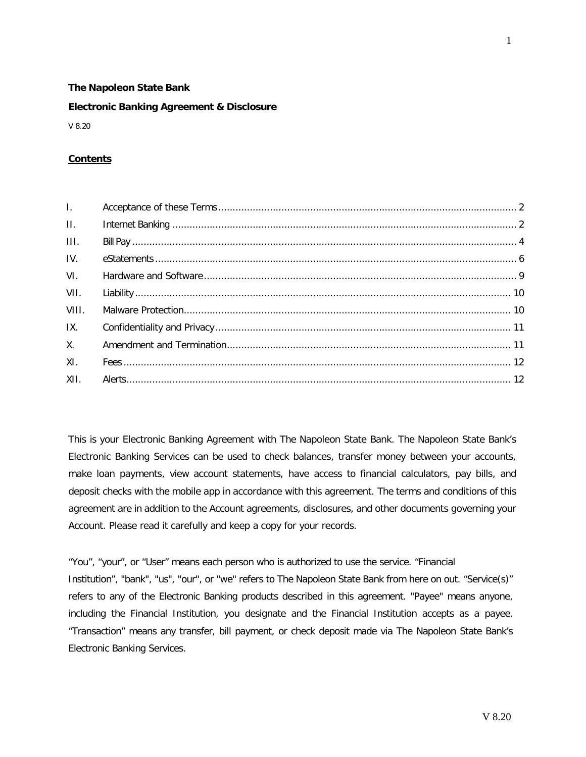## **The Napoleon State Bank**

#### **Electronic Banking Agreement & Disclosure**

V 8.20

## **Contents**

| $\Pi_{\rm eff}$ |  |
|-----------------|--|
| III.            |  |
| IV.             |  |
| VI.             |  |
| VII.            |  |
| VIII.           |  |
| IX.             |  |
| $X_{1}$         |  |
| XI.             |  |
| XII.            |  |

This is your Electronic Banking Agreement with The Napoleon State Bank. The Napoleon State Bank's Electronic Banking Services can be used to check balances, transfer money between your accounts, make loan payments, view account statements, have access to financial calculators, pay bills, and deposit checks with the mobile app in accordance with this agreement. The terms and conditions of this agreement are in addition to the Account agreements, disclosures, and other documents governing your Account. Please read it carefully and keep a copy for your records.

"You", "your", or "User" means each person who is authorized to use the service. "Financial Institution", "bank", "us", "our", or "we" refers to The Napoleon State Bank from here on out. "Service(s)" refers to any of the Electronic Banking products described in this agreement. "Payee" means anyone, including the Financial Institution, you designate and the Financial Institution accepts as a payee. "Transaction" means any transfer, bill payment, or check deposit made via The Napoleon State Bank's Electronic Banking Services.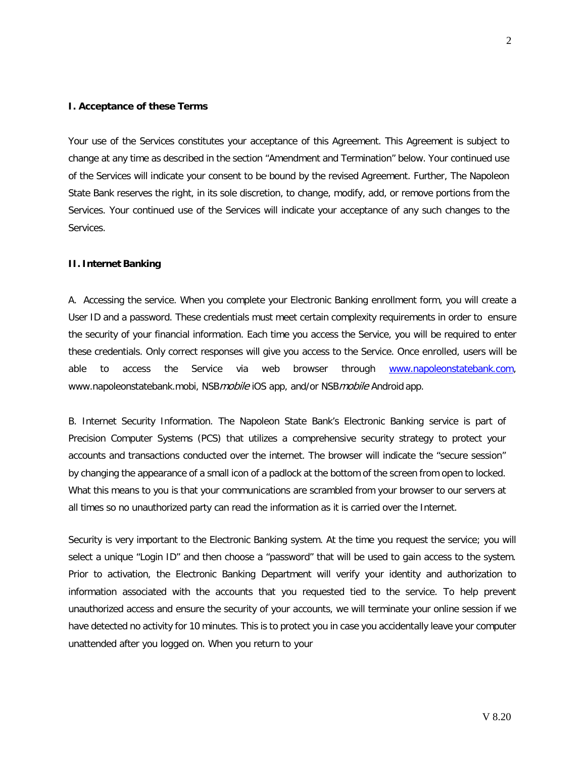### <span id="page-1-0"></span>**I. Acceptance of these Terms**

Your use of the Services constitutes your acceptance of this Agreement. This Agreement is subject to change at any time as described in the section "Amendment and Termination" below. Your continued use of the Services will indicate your consent to be bound by the revised Agreement. Further, The Napoleon State Bank reserves the right, in its sole discretion, to change, modify, add, or remove portions from the Services. Your continued use of the Services will indicate your acceptance of any such changes to the Services.

#### <span id="page-1-1"></span>**II. Internet Banking**

A. Accessing the service. When you complete your Electronic Banking enrollment form, you will create a User ID and a password. These credentials must meet certain complexity requirements in order to ensure the security of your financial information. Each time you access the Service, you will be required to enter these credentials. Only correct responses will give you access to the Service. Once enrolled, users will be able to access the Service via web browser through [www.napoleonstatebank.com](http://www.napoleonstatebank.com/)[,](http://www.napoleonstatebank.mobi/) [www.napoleonstatebank.mobi, N](http://www.napoleonstatebank.mobi/)SBmobile iOS app, and/or NSBmobile Android app.

B. Internet Security Information. The Napoleon State Bank's Electronic Banking service is part of Precision Computer Systems (PCS) that utilizes a comprehensive security strategy to protect your accounts and transactions conducted over the internet. The browser will indicate the "secure session" by changing the appearance of a small icon of a padlock at the bottom of the screen from open to locked. What this means to you is that your communications are scrambled from your browser to our servers at all times so no unauthorized party can read the information as it is carried over the Internet.

Security is very important to the Electronic Banking system. At the time you request the service; you will select a unique "Login ID" and then choose a "password" that will be used to gain access to the system. Prior to activation, the Electronic Banking Department will verify your identity and authorization to information associated with the accounts that you requested tied to the service. To help prevent unauthorized access and ensure the security of your accounts, we will terminate your online session if we have detected no activity for 10 minutes. This is to protect you in case you accidentally leave your computer unattended after you logged on. When you return to your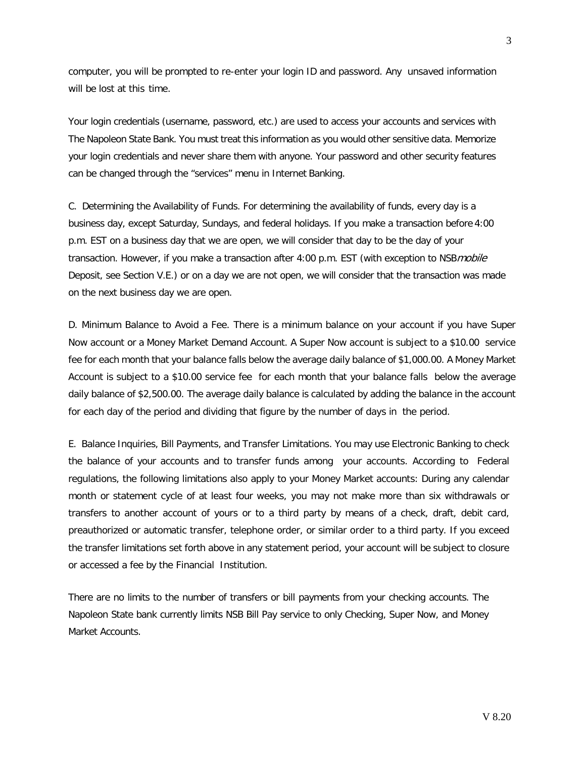computer, you will be prompted to re-enter your login ID and password. Any unsaved information will be lost at this time.

Your login credentials (username, password, etc.) are used to access your accounts and services with The Napoleon State Bank. You must treat this information as you would other sensitive data. Memorize your login credentials and never share them with anyone. Your password and other security features can be changed through the "services" menu in Internet Banking.

C. Determining the Availability of Funds. For determining the availability of funds, every day is a business day, except Saturday, Sundays, and federal holidays. If you make a transaction before 4:00 p.m. EST on a business day that we are open, we will consider that day to be the day of your transaction. However, if you make a transaction after 4:00 p.m. EST (with exception to NSBmobile Deposit, see Section V.E.) or on a day we are not open, we will consider that the transaction was made on the next business day we are open.

D. Minimum Balance to Avoid a Fee. There is a minimum balance on your account if you have Super Now account or a Money Market Demand Account. A Super Now account is subject to a \$10.00 service fee for each month that your balance falls below the average daily balance of \$1,000.00. A Money Market Account is subject to a \$10.00 service fee for each month that your balance falls below the average daily balance of \$2,500.00. The average daily balance is calculated by adding the balance in the account for each day of the period and dividing that figure by the number of days in the period.

E. Balance Inquiries, Bill Payments, and Transfer Limitations. You may use Electronic Banking to check the balance of your accounts and to transfer funds among your accounts. According to Federal regulations, the following limitations also apply to your Money Market accounts: During any calendar month or statement cycle of at least four weeks, you may not make more than six withdrawals or transfers to another account of yours or to a third party by means of a check, draft, debit card, preauthorized or automatic transfer, telephone order, or similar order to a third party. If you exceed the transfer limitations set forth above in any statement period, your account will be subject to closure or accessed a fee by the Financial Institution.

There are no limits to the number of transfers or bill payments from your checking accounts. The Napoleon State bank currently limits NSB Bill Pay service to only Checking, Super Now, and Money Market Accounts.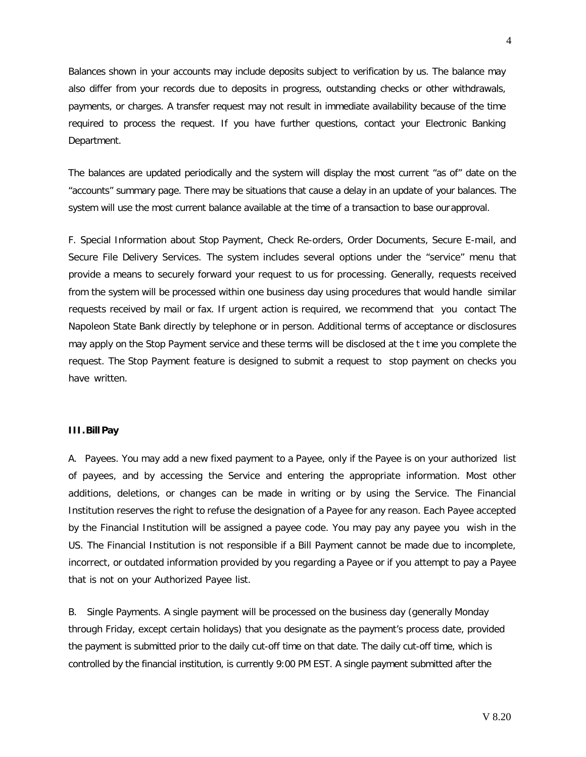Balances shown in your accounts may include deposits subject to verification by us. The balance may also differ from your records due to deposits in progress, outstanding checks or other withdrawals, payments, or charges. A transfer request may not result in immediate availability because of the time required to process the request. If you have further questions, contact your Electronic Banking Department.

The balances are updated periodically and the system will display the most current "as of" date on the "accounts" summary page. There may be situations that cause a delay in an update of your balances. The system will use the most current balance available at the time of a transaction to base ourapproval.

F. Special Information about Stop Payment, Check Re-orders, Order Documents, Secure E-mail, and Secure File Delivery Services. The system includes several options under the "service" menu that provide a means to securely forward your request to us for processing. Generally, requests received from the system will be processed within one business day using procedures that would handle similar requests received by mail or fax. If urgent action is required, we recommend that you contact The Napoleon State Bank directly by telephone or in person. Additional terms of acceptance or disclosures may apply on the Stop Payment service and these terms will be disclosed at the t ime you complete the request. The Stop Payment feature is designed to submit a request to stop payment on checks you have written.

## <span id="page-3-0"></span>**III.Bill Pay**

A. Payees. You may add a new fixed payment to a Payee, only if the Payee is on your authorized list of payees, and by accessing the Service and entering the appropriate information. Most other additions, deletions, or changes can be made in writing or by using the Service. The Financial Institution reserves the right to refuse the designation of a Payee for any reason. Each Payee accepted by the Financial Institution will be assigned a payee code. You may pay any payee you wish in the US. The Financial Institution is not responsible if a Bill Payment cannot be made due to incomplete, incorrect, or outdated information provided by you regarding a Payee or if you attempt to pay a Payee that is not on your Authorized Payee list.

B. Single Payments. A single payment will be processed on the business day (generally Monday through Friday, except certain holidays) that you designate as the payment's process date, provided the payment is submitted prior to the daily cut-off time on that date. The daily cut-off time, which is controlled by the financial institution, is currently 9:00 PM EST. A single payment submitted after the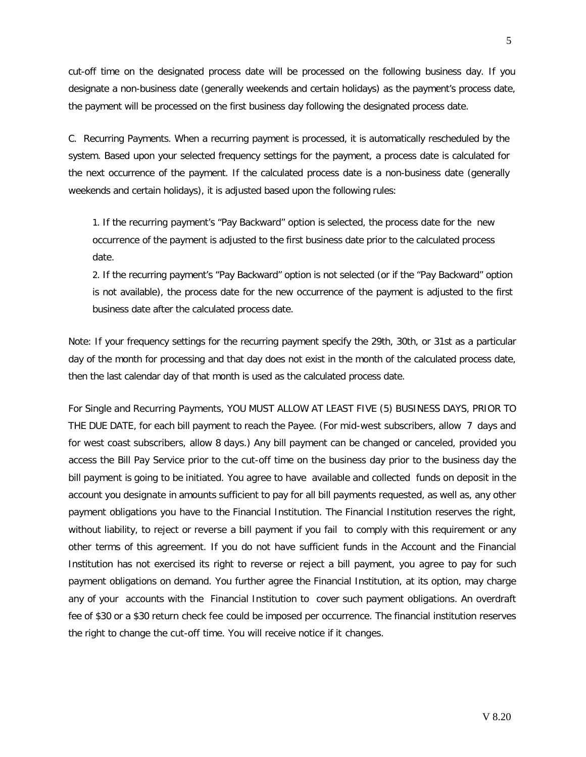cut-off time on the designated process date will be processed on the following business day. If you designate a non-business date (generally weekends and certain holidays) as the payment's process date, the payment will be processed on the first business day following the designated process date.

C. Recurring Payments. When a recurring payment is processed, it is automatically rescheduled by the system. Based upon your selected frequency settings for the payment, a process date is calculated for the next occurrence of the payment. If the calculated process date is a non-business date (generally weekends and certain holidays), it is adjusted based upon the following rules:

1. If the recurring payment's "Pay Backward" option is selected, the process date for the new occurrence of the payment is adjusted to the first business date prior to the calculated process date.

2. If the recurring payment's "Pay Backward" option is not selected (or if the "Pay Backward" option is not available), the process date for the new occurrence of the payment is adjusted to the first business date after the calculated process date.

Note: If your frequency settings for the recurring payment specify the 29th, 30th, or 31st as a particular day of the month for processing and that day does not exist in the month of the calculated process date, then the last calendar day of that month is used as the calculated process date.

For Single and Recurring Payments, YOU MUST ALLOW AT LEAST FIVE (5) BUSINESS DAYS, PRIOR TO THE DUE DATE, for each bill payment to reach the Payee. (For mid-west subscribers, allow 7 days and for west coast subscribers, allow 8 days.) Any bill payment can be changed or canceled, provided you access the Bill Pay Service prior to the cut-off time on the business day prior to the business day the bill payment is going to be initiated. You agree to have available and collected funds on deposit in the account you designate in amounts sufficient to pay for all bill payments requested, as well as, any other payment obligations you have to the Financial Institution. The Financial Institution reserves the right, without liability, to reject or reverse a bill payment if you fail to comply with this requirement or any other terms of this agreement. If you do not have sufficient funds in the Account and the Financial Institution has not exercised its right to reverse or reject a bill payment, you agree to pay for such payment obligations on demand. You further agree the Financial Institution, at its option, may charge any of your accounts with the Financial Institution to cover such payment obligations. An overdraft fee of \$30 or a \$30 return check fee could be imposed per occurrence. The financial institution reserves the right to change the cut-off time. You will receive notice if it changes.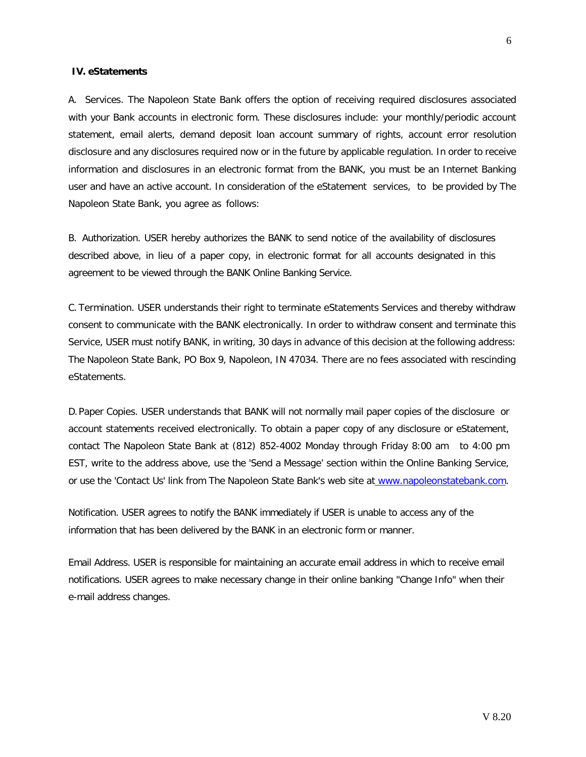#### <span id="page-5-0"></span>**IV. eStatements**

A. Services. The Napoleon State Bank offers the option of receiving required disclosures associated with your Bank accounts in electronic form. These disclosures include: your monthly/periodic account statement, email alerts, demand deposit loan account summary of rights, account error resolution disclosure and any disclosures required now or in the future by applicable regulation. In order to receive information and disclosures in an electronic format from the BANK, you must be an Internet Banking user and have an active account. In consideration of the eStatement services, to be provided by The Napoleon State Bank, you agree as follows:

B. Authorization. USER hereby authorizes the BANK to send notice of the availability of disclosures described above, in lieu of a paper copy, in electronic format for all accounts designated in this agreement to be viewed through the BANK Online Banking Service.

C. Termination. USER understands their right to terminate eStatements Services and thereby withdraw consent to communicate with the BANK electronically. In order to withdraw consent and terminate this Service, USER must notify BANK, in writing, 30 days in advance of this decision at the following address: The Napoleon State Bank, PO Box 9, Napoleon, IN 47034. There are no fees associated with rescinding eStatements.

D.Paper Copies. USER understands that BANK will not normally mail paper copies of the disclosure or account statements received electronically. To obtain a paper copy of any disclosure or eStatement, contact The Napoleon State Bank at (812) 852-4002 Monday through Friday 8:00 am to 4:00 pm EST, write to the address above, use the 'Send a Message' section within the Online Banking Service, or use the 'Contact Us' link from The Napoleon State Bank's web site at [www.napoleonstatebank.com.](http://www.napoleonstatebank.com/)

Notification. USER agrees to notify the BANK immediately if USER is unable to access any of the information that has been delivered by the BANK in an electronic form or manner.

Email Address. USER is responsible for maintaining an accurate email address in which to receive email notifications. USER agrees to make necessary change in their online banking "Change Info" when their e-mail address changes.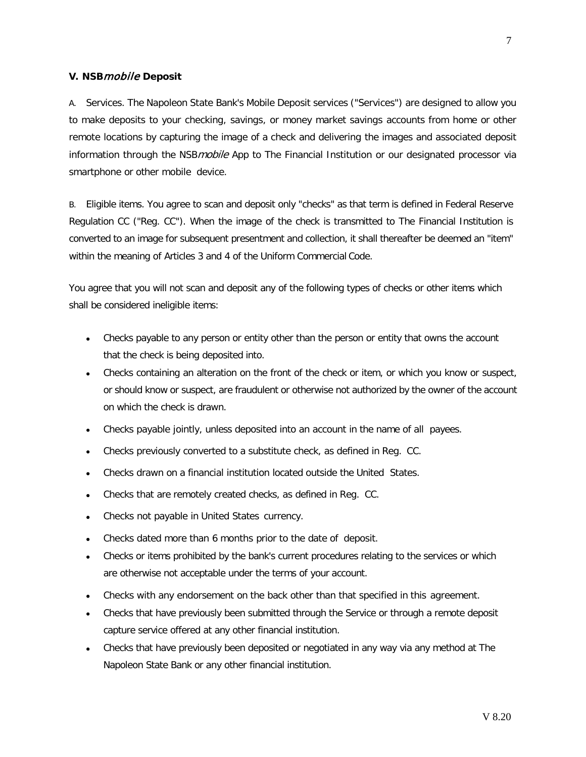## **V. NSB**mobile **Deposit**

A. Services. The Napoleon State Bank's Mobile Deposit services ("Services") are designed to allow you to make deposits to your checking, savings, or money market savings accounts from home or other remote locations by capturing the image of a check and delivering the images and associated deposit information through the NSB*mobile* App to The Financial Institution or our designated processor via smartphone or other mobile device.

B. Eligible items. You agree to scan and deposit only "checks" as that term is defined in Federal Reserve Regulation CC ("Reg. CC"). When the image of the check is transmitted to The Financial Institution is converted to an image for subsequent presentment and collection, it shall thereafter be deemed an "item" within the meaning of Articles 3 and 4 of the Uniform Commercial Code.

You agree that you will not scan and deposit any of the following types of checks or other items which shall be considered ineligible items:

- Checks payable to any person or entity other than the person or entity that owns the account that the check is being deposited into.
- Checks containing an alteration on the front of the check or item, or which you know or suspect, or should know or suspect, are fraudulent or otherwise not authorized by the owner of the account on which the check is drawn.
- Checks payable jointly, unless deposited into an account in the name of all payees.
- Checks previously converted to a substitute check, as defined in Reg. CC.
- Checks drawn on a financial institution located outside the United States.
- Checks that are remotely created checks, as defined in Reg. CC.
- Checks not payable in United States currency.
- Checks dated more than 6 months prior to the date of deposit.
- Checks or items prohibited by the bank's current procedures relating to the services or which are otherwise not acceptable under the terms of your account.
- Checks with any endorsement on the back other than that specified in this agreement.
- Checks that have previously been submitted through the Service or through a remote deposit capture service offered at any other financial institution.
- Checks that have previously been deposited or negotiated in any way via any method at The Napoleon State Bank or any other financial institution.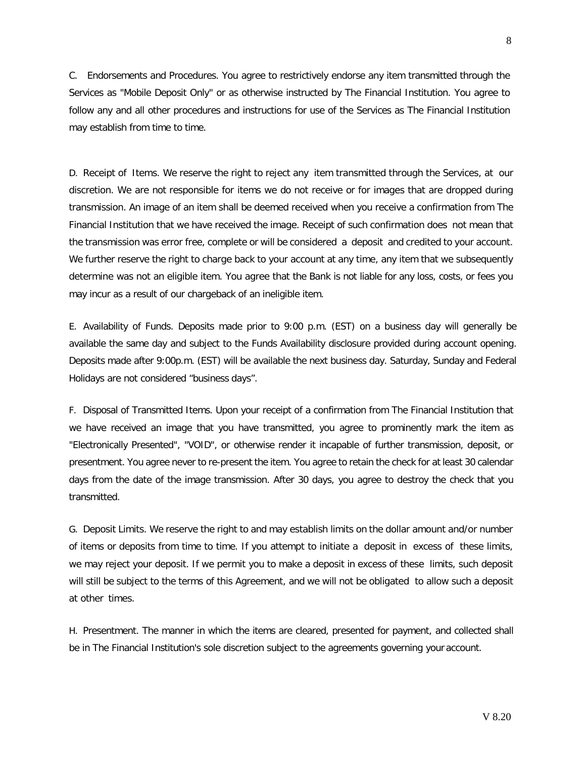C. Endorsements and Procedures. You agree to restrictively endorse any item transmitted through the Services as "Mobile Deposit Only" or as otherwise instructed by The Financial Institution. You agree to follow any and all other procedures and instructions for use of the Services as The Financial Institution may establish from time to time.

D. Receipt of Items. We reserve the right to reject any item transmitted through the Services, at our discretion. We are not responsible for items we do not receive or for images that are dropped during transmission. An image of an item shall be deemed received when you receive a confirmation from The Financial Institution that we have received the image. Receipt of such confirmation does not mean that the transmission was error free, complete or will be considered a deposit and credited to your account. We further reserve the right to charge back to your account at any time, any item that we subsequently determine was not an eligible item. You agree that the Bank is not liable for any loss, costs, or fees you may incur as a result of our chargeback of an ineligible item.

E. Availability of Funds. Deposits made prior to 9:00 p.m. (EST) on a business day will generally be available the same day and subject to the Funds Availability disclosure provided during account opening. Deposits made after 9:00p.m. (EST) will be available the next business day. Saturday, Sunday and Federal Holidays are not considered "business days".

F. Disposal of Transmitted Items. Upon your receipt of a confirmation from The Financial Institution that we have received an image that you have transmitted, you agree to prominently mark the item as "Electronically Presented", "VOID", or otherwise render it incapable of further transmission, deposit, or presentment. You agree never to re-present the item. You agree to retain the check for at least 30 calendar days from the date of the image transmission. After 30 days, you agree to destroy the check that you transmitted.

G. Deposit Limits. We reserve the right to and may establish limits on the dollar amount and/or number of items or deposits from time to time. If you attempt to initiate a deposit in excess of these limits, we may reject your deposit. If we permit you to make a deposit in excess of these limits, such deposit will still be subject to the terms of this Agreement, and we will not be obligated to allow such a deposit at other times.

H. Presentment. The manner in which the items are cleared, presented for payment, and collected shall be in The Financial Institution's sole discretion subject to the agreements governing your account.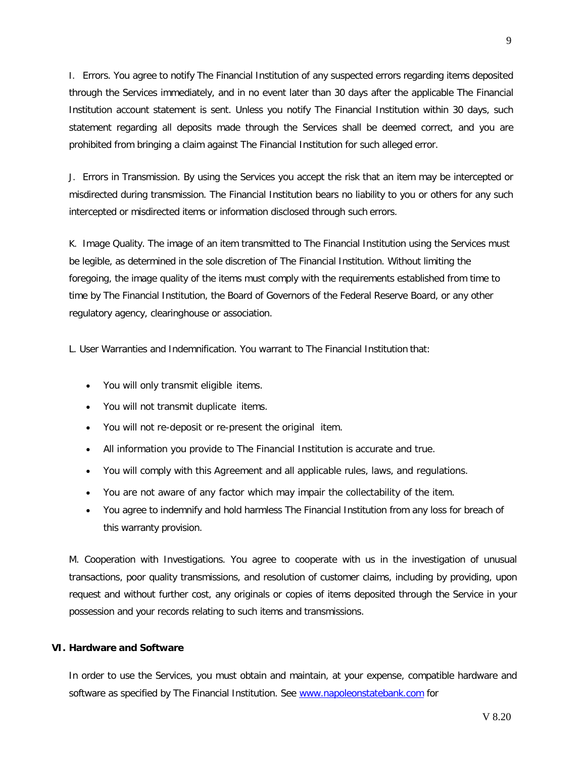I. Errors. You agree to notify The Financial Institution of any suspected errors regarding items deposited through the Services immediately, and in no event later than 30 days after the applicable The Financial Institution account statement is sent. Unless you notify The Financial Institution within 30 days, such statement regarding all deposits made through the Services shall be deemed correct, and you are prohibited from bringing a claim against The Financial Institution for such alleged error.

J. Errors in Transmission. By using the Services you accept the risk that an item may be intercepted or misdirected during transmission. The Financial Institution bears no liability to you or others for any such intercepted or misdirected items or information disclosed through such errors.

K. Image Quality. The image of an item transmitted to The Financial Institution using the Services must be legible, as determined in the sole discretion of The Financial Institution. Without limiting the foregoing, the image quality of the items must comply with the requirements established from time to time by The Financial Institution, the Board of Governors of the Federal Reserve Board, or any other regulatory agency, clearinghouse or association.

L. User Warranties and Indemnification. You warrant to The Financial Institution that:

- You will only transmit eligible items.
- You will not transmit duplicate items.
- You will not re-deposit or re-present the original item.
- All information you provide to The Financial Institution is accurate and true.
- You will comply with this Agreement and all applicable rules, laws, and regulations.
- You are not aware of any factor which may impair the collectability of the item.
- You agree to indemnify and hold harmless The Financial Institution from any loss for breach of this warranty provision.

M. Cooperation with Investigations. You agree to cooperate with us in the investigation of unusual transactions, poor quality transmissions, and resolution of customer claims, including by providing, upon request and without further cost, any originals or copies of items deposited through the Service in your possession and your records relating to such items and transmissions.

#### <span id="page-8-0"></span>**VI. Hardware and Software**

In order to use the Services, you must obtain and maintain, at your expense, compatible hardware and software as specified by The Financial Institution. See [www.napoleonstatebank.com](http://www.napoleonstatebank.com/) for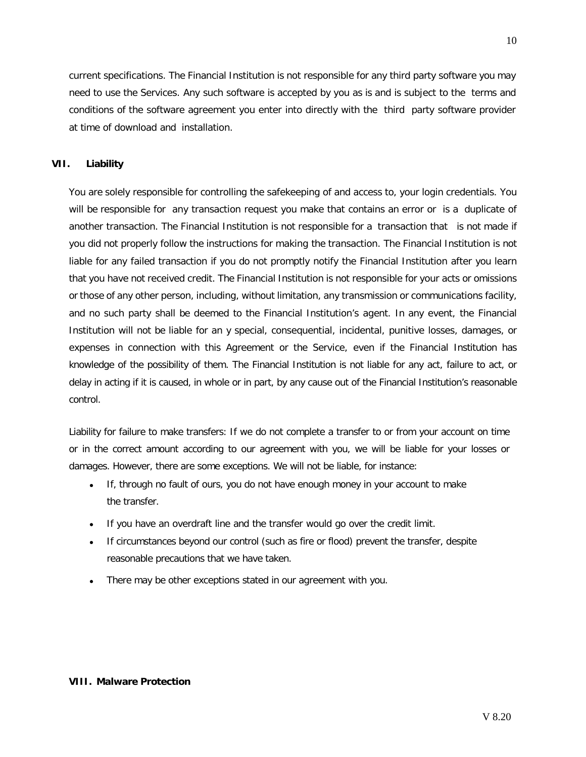current specifications. The Financial Institution is not responsible for any third party software you may need to use the Services. Any such software is accepted by you as is and is subject to the terms and conditions of the software agreement you enter into directly with the third party software provider at time of download and installation.

# <span id="page-9-0"></span>**VII. Liability**

You are solely responsible for controlling the safekeeping of and access to, your login credentials. You will be responsible for any transaction request you make that contains an error or is a duplicate of another transaction. The Financial Institution is not responsible for a transaction that is not made if you did not properly follow the instructions for making the transaction. The Financial Institution is not liable for any failed transaction if you do not promptly notify the Financial Institution after you learn that you have not received credit. The Financial Institution is not responsible for your acts or omissions or those of any other person, including, without limitation, any transmission or communications facility, and no such party shall be deemed to the Financial Institution's agent. In any event, the Financial Institution will not be liable for an y special, consequential, incidental, punitive losses, damages, or expenses in connection with this Agreement or the Service, even if the Financial Institution has knowledge of the possibility of them. The Financial Institution is not liable for any act, failure to act, or delay in acting if it is caused, in whole or in part, by any cause out of the Financial Institution's reasonable control.

Liability for failure to make transfers: If we do not complete a transfer to or from your account on time or in the correct amount according to our agreement with you, we will be liable for your losses or damages. However, there are some exceptions. We will not be liable, for instance:

- If, through no fault of ours, you do not have enough money in your account to make the transfer.
- If you have an overdraft line and the transfer would go over the credit limit.
- If circumstances beyond our control (such as fire or flood) prevent the transfer, despite reasonable precautions that we have taken.
- There may be other exceptions stated in our agreement with you.

## <span id="page-9-1"></span>**VIII. Malware Protection**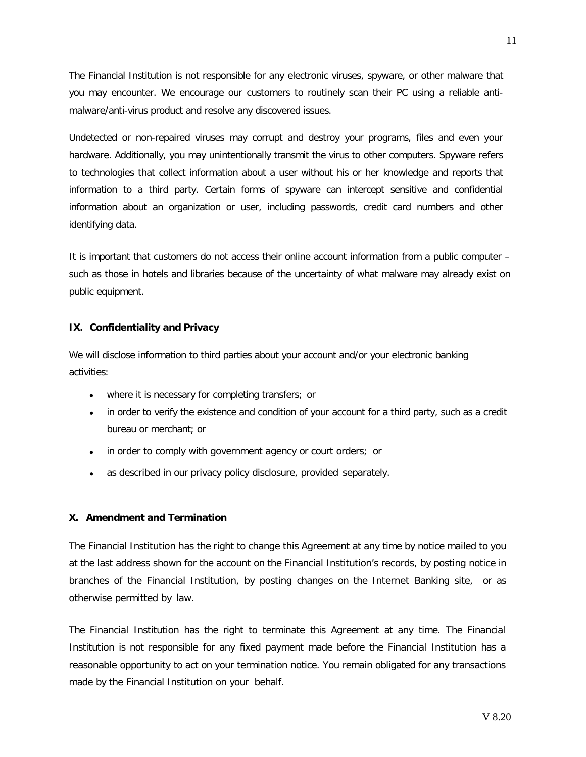The Financial Institution is not responsible for any electronic viruses, spyware, or other malware that you may encounter. We encourage our customers to routinely scan their PC using a reliable antimalware/anti-virus product and resolve any discovered issues.

Undetected or non-repaired viruses may corrupt and destroy your programs, files and even your hardware. Additionally, you may unintentionally transmit the virus to other computers. Spyware refers to technologies that collect information about a user without his or her knowledge and reports that information to a third party. Certain forms of spyware can intercept sensitive and confidential information about an organization or user, including passwords, credit card numbers and other identifying data.

It is important that customers do not access their online account information from a public computer – such as those in hotels and libraries because of the uncertainty of what malware may already exist on public equipment.

## <span id="page-10-0"></span>**IX. Confidentiality and Privacy**

We will disclose information to third parties about your account and/or your electronic banking activities:

- where it is necessary for completing transfers; or
- in order to verify the existence and condition of your account for a third party, such as a credit bureau or merchant; or
- in order to comply with government agency or court orders; or
- as described in our privacy policy disclosure, provided separately.

#### <span id="page-10-1"></span>**X. Amendment and Termination**

The Financial Institution has the right to change this Agreement at any time by notice mailed to you at the last address shown for the account on the Financial Institution's records, by posting notice in branches of the Financial Institution, by posting changes on the Internet Banking site, or as otherwise permitted by law.

The Financial Institution has the right to terminate this Agreement at any time. The Financial Institution is not responsible for any fixed payment made before the Financial Institution has a reasonable opportunity to act on your termination notice. You remain obligated for any transactions made by the Financial Institution on your behalf.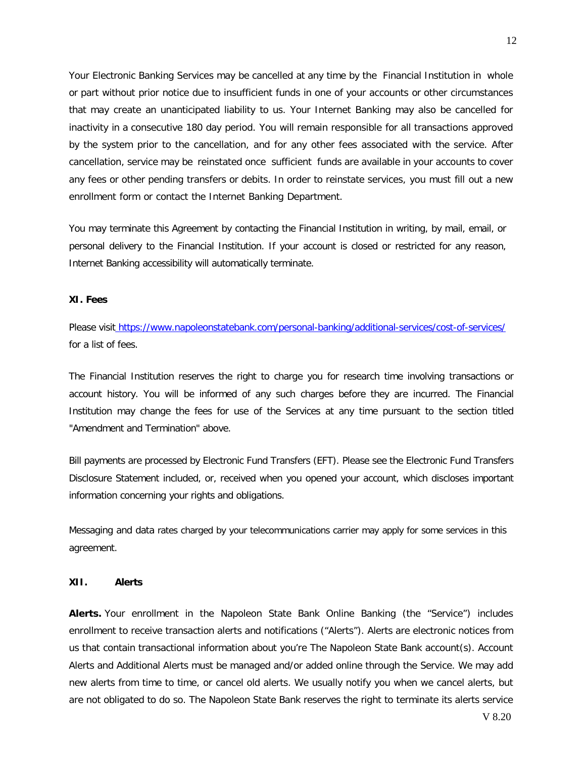Your Electronic Banking Services may be cancelled at any time by the Financial Institution in whole or part without prior notice due to insufficient funds in one of your accounts or other circumstances that may create an unanticipated liability to us. Your Internet Banking may also be cancelled for inactivity in a consecutive 180 day period. You will remain responsible for all transactions approved by the system prior to the cancellation, and for any other fees associated with the service. After cancellation, service may be reinstated once sufficient funds are available in your accounts to cover any fees or other pending transfers or debits. In order to reinstate services, you must fill out a new enrollment form or contact the Internet Banking Department.

You may terminate this Agreement by contacting the Financial Institution in writing, by mail, email, or personal delivery to the Financial Institution. If your account is closed or restricted for any reason, Internet Banking accessibility will automatically terminate.

# <span id="page-11-0"></span>**XI. Fees**

Please visit [https://www.napoleonstatebank.com/personal-banking/additional-services/cost-of-services/](https://napoleonstatebank.com/products) for a list of fees.

The Financial Institution reserves the right to charge you for research time involving transactions or account history. You will be informed of any such charges before they are incurred. The Financial Institution may change the fees for use of the Services at any time pursuant to the section titled "Amendment and Termination" above.

Bill payments are processed by Electronic Fund Transfers (EFT). Please see the Electronic Fund Transfers Disclosure Statement included, or, received when you opened your account, which discloses important information concerning your rights and obligations.

Messaging and data rates charged by your telecommunications carrier may apply for some services in this agreement.

## <span id="page-11-1"></span>**XII. Alerts**

**Alerts.** Your enrollment in the Napoleon State Bank Online Banking (the "Service") includes enrollment to receive transaction alerts and notifications ("Alerts"). Alerts are electronic notices from us that contain transactional information about you're The Napoleon State Bank account(s). Account Alerts and Additional Alerts must be managed and/or added online through the Service. We may add new alerts from time to time, or cancel old alerts. We usually notify you when we cancel alerts, but are not obligated to do so. The Napoleon State Bank reserves the right to terminate its alerts service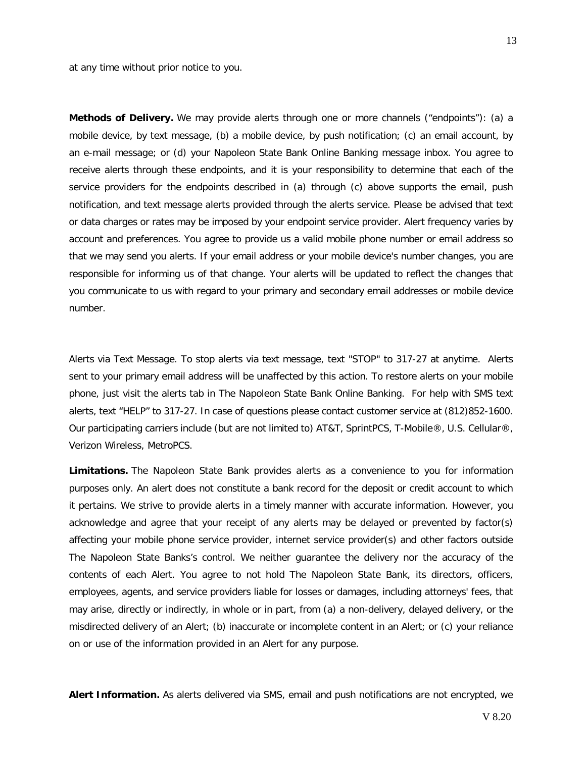at any time without prior notice to you.

**Methods of Delivery.** We may provide alerts through one or more channels ("endpoints"): (a) a mobile device, by text message, (b) a mobile device, by push notification; (c) an email account, by an e-mail message; or (d) your Napoleon State Bank Online Banking message inbox. You agree to receive alerts through these endpoints, and it is your responsibility to determine that each of the service providers for the endpoints described in (a) through (c) above supports the email, push notification, and text message alerts provided through the alerts service. Please be advised that text or data charges or rates may be imposed by your endpoint service provider. Alert frequency varies by account and preferences. You agree to provide us a valid mobile phone number or email address so that we may send you alerts. If your email address or your mobile device's number changes, you are responsible for informing us of that change. Your alerts will be updated to reflect the changes that you communicate to us with regard to your primary and secondary email addresses or mobile device number.

Alerts via Text Message. To stop alerts via text message, text "STOP" to 317-27 at anytime. Alerts sent to your primary email address will be unaffected by this action. To restore alerts on your mobile phone, just visit the alerts tab in The Napoleon State Bank Online Banking. For help with SMS text alerts, text "HELP" to 317-27. In case of questions please contact customer service at (812)852-1600. Our participating carriers include (but are not limited to) AT&T, SprintPCS, T-Mobile®, U.S. Cellular®, Verizon Wireless, MetroPCS.

**Limitations.** The Napoleon State Bank provides alerts as a convenience to you for information purposes only. An alert does not constitute a bank record for the deposit or credit account to which it pertains. We strive to provide alerts in a timely manner with accurate information. However, you acknowledge and agree that your receipt of any alerts may be delayed or prevented by factor(s) affecting your mobile phone service provider, internet service provider(s) and other factors outside The Napoleon State Banks's control. We neither guarantee the delivery nor the accuracy of the contents of each Alert. You agree to not hold The Napoleon State Bank, its directors, officers, employees, agents, and service providers liable for losses or damages, including attorneys' fees, that may arise, directly or indirectly, in whole or in part, from (a) a non-delivery, delayed delivery, or the misdirected delivery of an Alert; (b) inaccurate or incomplete content in an Alert; or (c) your reliance on or use of the information provided in an Alert for any purpose.

**Alert Information.** As alerts delivered via SMS, email and push notifications are not encrypted, we